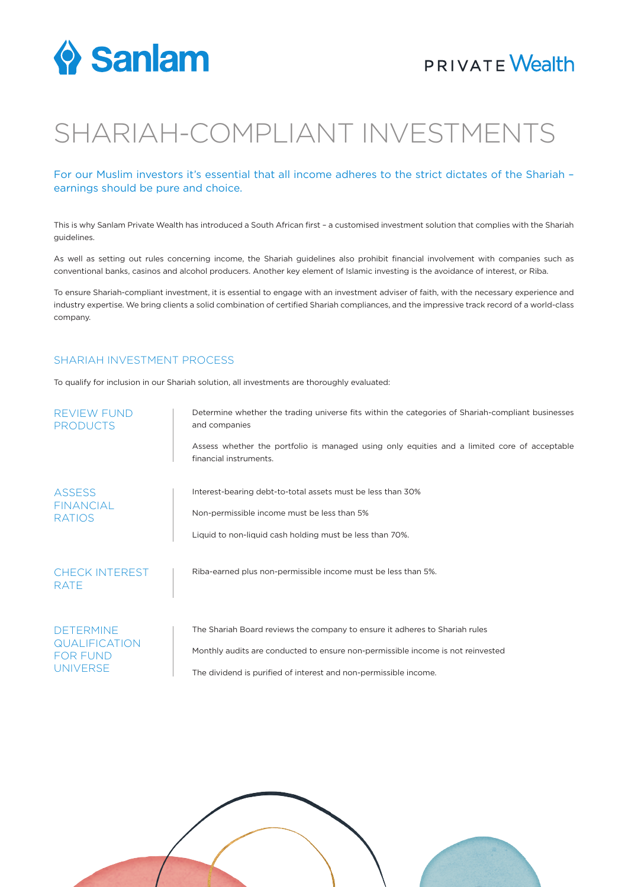

### **PRIVATE Wealth**

# SHARIAH-COMPLIANT INVESTMENTS

### For our Muslim investors it's essential that all income adheres to the strict dictates of the Shariah – earnings should be pure and choice.

This is why Sanlam Private Wealth has introduced a South African first – a customised investment solution that complies with the Shariah guidelines.

As well as setting out rules concerning income, the Shariah guidelines also prohibit financial involvement with companies such as conventional banks, casinos and alcohol producers. Another key element of Islamic investing is the avoidance of interest, or Riba.

To ensure Shariah-compliant investment, it is essential to engage with an investment adviser of faith, with the necessary experience and industry expertise. We bring clients a solid combination of certified Shariah compliances, and the impressive track record of a world-class company.

#### SHARIAH INVESTMENT PROCESS

To qualify for inclusion in our Shariah solution, all investments are thoroughly evaluated:

| <b>REVIEW FUND</b><br><b>PRODUCTS</b>                                   | Determine whether the trading universe fits within the categories of Shariah-compliant businesses<br>and companies     |
|-------------------------------------------------------------------------|------------------------------------------------------------------------------------------------------------------------|
|                                                                         | Assess whether the portfolio is managed using only equities and a limited core of acceptable<br>financial instruments. |
| <b>ASSESS</b><br><b>FINANCIAL</b><br><b>RATIOS</b>                      | Interest-bearing debt-to-total assets must be less than 30%                                                            |
|                                                                         | Non-permissible income must be less than 5%                                                                            |
|                                                                         | Liquid to non-liquid cash holding must be less than 70%.                                                               |
| <b>CHECK INTEREST</b><br><b>RATE</b>                                    | Riba-earned plus non-permissible income must be less than 5%.                                                          |
| <b>DETERMINE</b><br><b>QUALIFICATION</b><br>FOR FUND<br><b>UNIVERSE</b> | The Shariah Board reviews the company to ensure it adheres to Shariah rules                                            |
|                                                                         | Monthly audits are conducted to ensure non-permissible income is not reinvested                                        |
|                                                                         | The dividend is purified of interest and non-permissible income.                                                       |